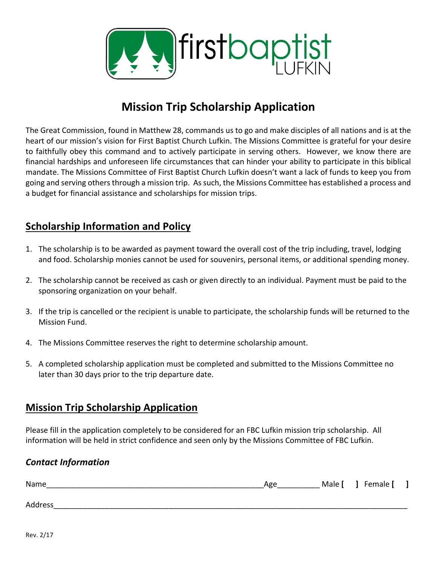

## **Mission Trip Scholarship Application**

The Great Commission, found in Matthew 28, commands us to go and make disciples of all nations and is at the heart of our mission's vision for First Baptist Church Lufkin. The Missions Committee is grateful for your desire to faithfully obey this command and to actively participate in serving others. However, we know there are financial hardships and unforeseen life circumstances that can hinder your ability to participate in this biblical mandate. The Missions Committee of First Baptist Church Lufkin doesn't want a lack of funds to keep you from going and serving others through a mission trip. As such, the Missions Committee has established a process and a budget for financial assistance and scholarships for mission trips.

## **Scholarship Information and Policy**

- 1. The scholarship is to be awarded as payment toward the overall cost of the trip including, travel, lodging and food. Scholarship monies cannot be used for souvenirs, personal items, or additional spending money.
- 2. The scholarship cannot be received as cash or given directly to an individual. Payment must be paid to the sponsoring organization on your behalf.
- 3. If the trip is cancelled or the recipient is unable to participate, the scholarship funds will be returned to the **Mission Fund.**
- 4. The Missions Committee reserves the right to determine scholarship amount.
- 5. A completed scholarship application must be completed and submitted to the Missions Committee no later than 30 days prior to the trip departure date.

## **Mission Trip Scholarship Application**

Please fill in the application completely to be considered for an FBC Lufkin mission trip scholarship. All information will be held in strict confidence and seen only by the Missions Committee of FBC Lufkin.

## *Contact Information*

| Name    | Age | Male [ | Female [ |  |
|---------|-----|--------|----------|--|
|         |     |        |          |  |
| Address |     |        |          |  |